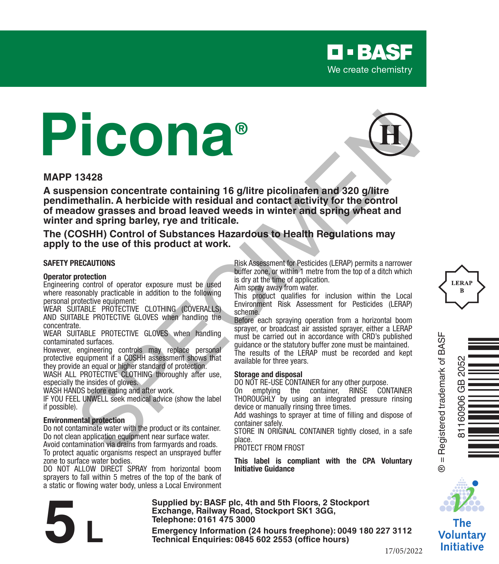

# **Picona®**



#### **MAPP 13428**

**A suspension concentrate containing 16 g/litre picolinafen and 320 g/litre pendimethalin. A herbicide with residual and contact activity for the control of meadow grasses and broad leaved weeds in winter and spring wheat and winter and spring barley, rye and triticale. 19428**<br> **Example 19428**<br> **Example 1944 and School of the state of the state of the state of the state of the state of the state of the state of the state of the state of the state of the state of the state of the state of** 

**The (COSHH) Control of Substances Hazardous to Health Regulations may apply to the use of this product at work.**

#### **SAFETY PRECAUTIONS**

#### **Operator protection**

Engineering control of operator exposure must be used where reasonably practicable in addition to the following personal protective equipment:

WEAR SUITABLE PROTECTIVE CLOTHING (COVERALLS) AND SUITABLE PROTECTIVE GLOVES when handling the concentrate.

WEAR SUITABLE PROTECTIVE GLOVES when handling contaminated surfaces.

However, engineering controls may replace personal protective equipment if a COSHH assessment shows that they provide an equal or higher standard of protection.

WASH ALL PROTECTIVE CLOTHING thoroughly after use. especially the insides of gloves.

WASH HANDS before eating and after work.

IF YOU FEEL UNWELL seek medical advice (show the label if possible).

#### **Environmental protection**

Do not contaminate water with the product or its container. Do not clean application equipment near surface water.

Avoid contamination via drains from farmyards and roads. To protect aquatic organisms respect an unsprayed buffer zone to surface water bodies.

DO NOT ALLOW DIRECT SPRAY from horizontal boom sprayers to fall within 5 metres of the top of the bank of a static or flowing water body, unless a Local Environment Risk Assessment for Pesticides (LERAP) permits a narrower buffer zone, or within 1 metre from the top of a ditch which is dry at the time of application.

Aim spray away from water.

This product qualifies for inclusion within the Local Environment Risk Assessment for Pesticides (LERAP) scheme.

Before each spraying operation from a horizontal boom sprayer, or broadcast air assisted sprayer, either a LERAP must be carried out in accordance with CRD's published guidance or the statutory buffer zone must be maintained. The results of the LERAP must be recorded and kept available for three years.

#### **Storage and disposal**

DO NOT RE-USE CONTAINER for any other purpose.<br>On emptying the container. RINSE CON On emptying the container, RINSE CONTAINER THOROUGHIY by using an integrated pressure rinsing device or manually rinsing three times.

Add washings to sprayer at time of filling and dispose of container safely.

STORE IN ORIGINAL CONTAINER tightly closed, in a safe place.

PROTECT FROM FROST

**This label is compliant with the CPA Voluntary Initiative Guidance**





® = Registered trademark of BASF

 $\overline{\mathbf{u}}$  $\ddot{\circ}$ 

Registered trademark of BASF



The Voluntary Initiative

**Supplied by: BASF plc, 4th and 5th Floors, 2 Stockport Exchange, Railway Road, Stockport SK1 3GG, Telephone: 0161 475 3000** Exchange, Rallway Road, Stockport SK1 3GG,<br>
Telephone: 0161 475 3000<br>
Emergency Information (24 hours freephone): 0049 180 227 3112<br>
Technical Enquiries: 0845 602 2553 (office hours)<br>
17/05/20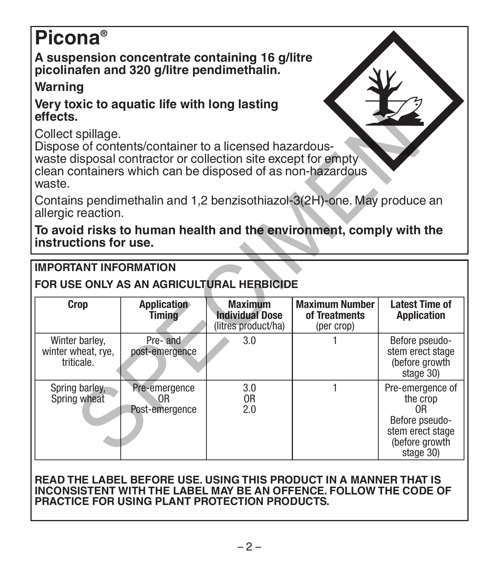# **Picona®**

**A suspension concentrate containing 16 g/litre picolinafen and 320 g/litre pendimethalin.**

# **Warning**

### **Very toxic to aquatic life with long lasting effects.**

# **IMPORTANT INFORMATION**

# **FOR USE ONLY AS AN AGRICULTURAL HERBICIDE**

| effects.                                                                                                                                                                                                             |                              |                                                                 |                                                      |                                                                   |  |  |  |  |
|----------------------------------------------------------------------------------------------------------------------------------------------------------------------------------------------------------------------|------------------------------|-----------------------------------------------------------------|------------------------------------------------------|-------------------------------------------------------------------|--|--|--|--|
| Collect spillage.<br>Dispose of contents/container to a licensed hazardous-<br>waste disposal contractor or collection site except for empty<br>clean containers which can be disposed of as non-hazardous<br>waste. |                              |                                                                 |                                                      |                                                                   |  |  |  |  |
| Contains pendimethalin and 1,2 benzisothiazol-3(2H)-one. May produce an<br>allergic reaction.                                                                                                                        |                              |                                                                 |                                                      |                                                                   |  |  |  |  |
| To avoid risks to human health and the environment, comply with the<br>instructions for use.                                                                                                                         |                              |                                                                 |                                                      |                                                                   |  |  |  |  |
| <b>IMPORTANT INFORMATION</b><br>FOR USE ONLY AS AN AGRICULTURAL HERBICIDE                                                                                                                                            |                              |                                                                 |                                                      |                                                                   |  |  |  |  |
|                                                                                                                                                                                                                      |                              |                                                                 |                                                      |                                                                   |  |  |  |  |
| Crop                                                                                                                                                                                                                 | Application<br><b>Timing</b> | <b>Maximum</b><br><b>Individual Dose</b><br>(litres product/ha) | <b>Maximum Number</b><br>of Treatments<br>(per crop) | <b>Latest Time of</b><br><b>Application</b>                       |  |  |  |  |
| Winter barley,<br>winter wheat, rye,<br>triticale.                                                                                                                                                                   | Pre-and<br>post-emergence    | 3.0                                                             |                                                      | Before pseudo-<br>stem erect stage<br>(before growth<br>stage 30) |  |  |  |  |

#### **READ THE LABEL BEFORE USE. USING THIS PRODUCT IN A MANNER THAT IS INCONSISTENT WITH THE LABEL MAY BE AN OFFENCE. FOLLOW THE CODE OF PRACTICE FOR USING PLANT PROTECTION PRODUCTS.**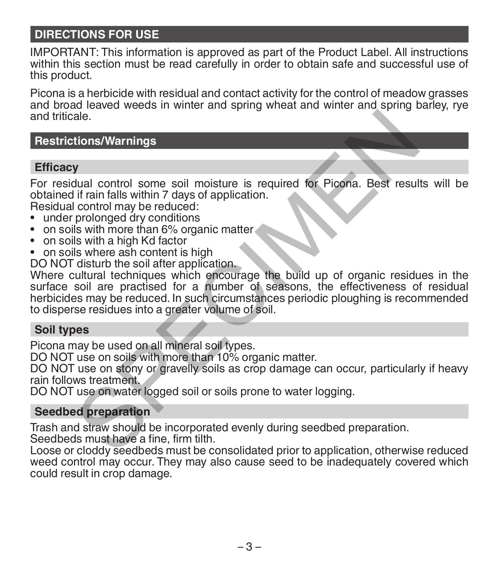# **DIRECTIONS FOR USE**

IMPORTANT: This information is approved as part of the Product Label. All instructions within this section must be read carefully in order to obtain safe and successful use of this product.

Picona is a herbicide with residual and contact activity for the control of meadow grasses and broad leaved weeds in winter and spring wheat and winter and spring barley, rye and triticale.

#### **Restrictions/Warnings**

#### **Efficacy**

For residual control some soil moisture is required for Picona. Best results will be obtained if rain falls within 7 days of application.

Residual control may be reduced:

- under prolonged dry conditions
- on soils with more than 6% organic matter
- on soils with a high Kd factor
- on soils where ash content is high

DO NOT disturb the soil after application.

Where cultural techniques which encourage the build up of organic residues in the surface soil are practised for a number of seasons, the effectiveness of residual herbicides may be reduced. In such circumstances periodic ploughing is recommended to disperse residues into a greater volume of soil. ale.<br>
ale.<br>
1998<br>
1998<br>
1998<br>
1998<br>
1998 In frain falls within 7 days of application.<br>
1997<br>
1999 In frain falls with a represented in the solar proposed are produced:<br>
1999 In the solid atternation<br>
1999 In the solid are

#### **Soil types**

Picona may be used on all mineral soil types.

DO NOT use on soils with more than 10% organic matter.

DO NOT use on stony or gravelly soils as crop damage can occur, particularly if heavy rain follows treatment.

DO NOT use on water logged soil or soils prone to water logging.

#### **Seedbed preparation**

Trash and straw should be incorporated evenly during seedbed preparation. Seedbeds must have a fine, firm tilth.

Loose or cloddy seedbeds must be consolidated prior to application, otherwise reduced weed control may occur. They may also cause seed to be inadequately covered which could result in crop damage.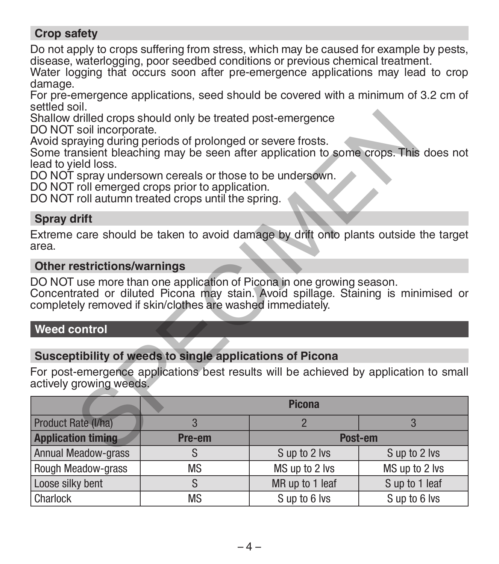## **Crop safety**

Do not apply to crops suffering from stress, which may be caused for example by pests. disease, waterlogging, poor seedbed conditions or previous chemical treatment.

Water logging that occurs soon after pre-emergence applications may lead to crop damage.

For pre-emergence applications, seed should be covered with a minimum of 3.2 cm of settled soil.

#### **Spray drift**

#### **Other restrictions/warnings**

#### **Weed control**

#### **Susceptibility of weeds to single applications of Picona**

| Shallow drilled crops should only be treated post-emergence                                                                                                                                                               |                                                          |                 |                |  |  |  |
|---------------------------------------------------------------------------------------------------------------------------------------------------------------------------------------------------------------------------|----------------------------------------------------------|-----------------|----------------|--|--|--|
| DO NOT soil incorporate.<br>Avoid spraying during periods of prolonged or severe frosts.<br>Some transient bleaching may be seen after application to some crops. This does not<br>lead to yield loss.                    |                                                          |                 |                |  |  |  |
| DO NOT spray undersown cereals or those to be undersown.<br>DO NOT roll emerged crops prior to application.<br>DO NOT roll autumn treated crops until the spring.                                                         |                                                          |                 |                |  |  |  |
| <b>Spray drift</b>                                                                                                                                                                                                        |                                                          |                 |                |  |  |  |
| Extreme care should be taken to avoid damage by drift onto plants outside the target<br>area.                                                                                                                             |                                                          |                 |                |  |  |  |
| <b>Other restrictions/warnings</b>                                                                                                                                                                                        |                                                          |                 |                |  |  |  |
| DO NOT use more than one application of Picona in one growing season.<br>Concentrated or diluted Picona may stain. Avoid spillage. Staining is minimised or<br>completely removed if skin/clothes are washed immediately. |                                                          |                 |                |  |  |  |
| <b>Weed control</b>                                                                                                                                                                                                       |                                                          |                 |                |  |  |  |
|                                                                                                                                                                                                                           |                                                          |                 |                |  |  |  |
|                                                                                                                                                                                                                           | Susceptibility of weeds to single applications of Picona |                 |                |  |  |  |
| For post-emergence applications best results will be achieved by application to small<br>actively growing weeds.                                                                                                          |                                                          |                 |                |  |  |  |
|                                                                                                                                                                                                                           | <b>Picona</b>                                            |                 |                |  |  |  |
| Product Rate (I/ha)                                                                                                                                                                                                       | 3                                                        | $\overline{2}$  | 3              |  |  |  |
| <b>Application timing</b>                                                                                                                                                                                                 | Pre-em                                                   | Post-em         |                |  |  |  |
| <b>Annual Meadow-grass</b>                                                                                                                                                                                                | S                                                        | S up to 2 lvs   | S up to 2 lvs  |  |  |  |
| Rough Meadow-grass                                                                                                                                                                                                        | ΜS                                                       | MS up to 2 lvs  | MS up to 2 lvs |  |  |  |
| Loose silky bent                                                                                                                                                                                                          | S                                                        | MR up to 1 leaf | S up to 1 leaf |  |  |  |
| Charlock                                                                                                                                                                                                                  | <b>MS</b>                                                | S up to 6 lys   | S up to 6 lvs  |  |  |  |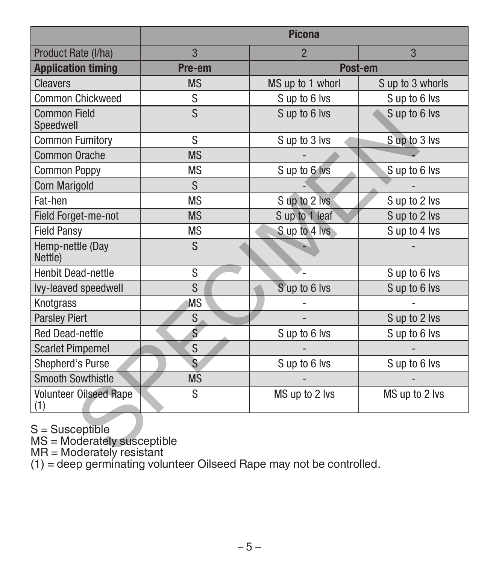|                                                                                        | <b>Picona</b>     |                  |                  |  |  |  |
|----------------------------------------------------------------------------------------|-------------------|------------------|------------------|--|--|--|
| Product Rate (I/ha)                                                                    | 3                 | $\overline{2}$   | 3                |  |  |  |
| <b>Application timing</b>                                                              | Post-em<br>Pre-em |                  |                  |  |  |  |
| <b>Cleavers</b>                                                                        | <b>MS</b>         | MS up to 1 whorl | S up to 3 whorls |  |  |  |
| Common Chickweed                                                                       | S                 | S up to 6 lvs    | S up to 6 lvs    |  |  |  |
| <b>Common Field</b><br>Speedwell                                                       | S                 | S up to 6 lys    | S up to 6 lvs    |  |  |  |
| <b>Common Fumitory</b>                                                                 | S                 | S up to 3 lvs    | S up to 3 lvs    |  |  |  |
| <b>Common Orache</b>                                                                   | <b>MS</b>         |                  |                  |  |  |  |
| <b>Common Poppy</b>                                                                    | <b>MS</b>         | S up to 6 lvs    | S up to 6 lvs    |  |  |  |
| <b>Corn Marigold</b>                                                                   | S                 |                  |                  |  |  |  |
| Fat-hen                                                                                | <b>MS</b>         | S up to 2 lvs    | S up to 2 lvs    |  |  |  |
| Field Forget-me-not                                                                    | <b>MS</b>         | S up to 1 leaf   | S up to 2 lvs    |  |  |  |
| <b>Field Pansy</b>                                                                     | <b>MS</b>         | S up to 4 lvs    | S up to 4 lvs    |  |  |  |
| Hemp-nettle (Day<br>Nettle)                                                            | S                 |                  |                  |  |  |  |
| <b>Henbit Dead-nettle</b>                                                              | S                 |                  | Sup to 6 lvs     |  |  |  |
| Ivy-leaved speedwell                                                                   | S                 | Sup to 6 lvs     | Sup to 6 lvs     |  |  |  |
| Knotgrass                                                                              | ΜS                |                  |                  |  |  |  |
| <b>Parsley Piert</b>                                                                   | S                 |                  | S up to 2 lvs    |  |  |  |
| <b>Red Dead-nettle</b>                                                                 | Ś                 | Sup to 6 lvs     | Sup to 6 lvs     |  |  |  |
| <b>Scarlet Pimpernel</b>                                                               | <sub>S</sub>      |                  |                  |  |  |  |
| Shepherd's Purse                                                                       | S                 | Sup to 6 lvs     | S up to 6 lvs    |  |  |  |
| <b>Smooth Sowthistle</b>                                                               | <b>MS</b>         |                  |                  |  |  |  |
| Volunteer Oilseed Rape<br>(1)                                                          | S                 | MS up to 2 lvs   | MS up to 2 lvs   |  |  |  |
| $S =$ Susceptible<br>MS = Moderately susceptible<br>$MR = Modern$ Moderately resistant |                   |                  |                  |  |  |  |

S = Susceptible MS = Moderately susceptible MR = Moderately resistant (1) = deep germinating volunteer Oilseed Rape may not be controlled.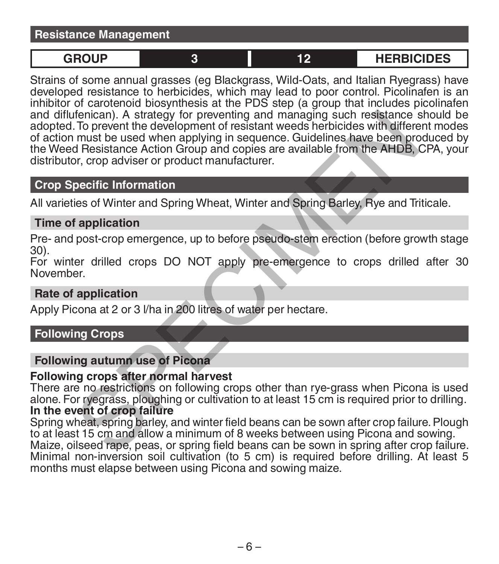#### **Resistance Management**

**GROUP 3 12 HERBICIDES**

Strains of some annual grasses (eg Blackgrass, Wild-Oats, and Italian Ryegrass) have developed resistance to herbicides, which may lead to poor control. Picolinafen is an inhibitor of carotenoid biosynthesis at the PDS step (a group that includes picolinafen and diflufenican). A strategy for preventing and managing such resistance should be adopted. To prevent the development of resistant weeds herbicides with different modes of action must be used when applying in sequence. Guidelines have been produced by the Weed Resistance Action Group and copies are available from the AHDB, CPA, your distributor, crop adviser or product manufacturer. fenican). A strategy for preventing and managing such resistance s<br>To prevent the development of resistant weeds herbicides with different<br>must be used when applying in sequence. Guidelines have been profite<br>and Resistance

#### **Crop Specific Information**

All varieties of Winter and Spring Wheat, Winter and Spring Barley, Rye and Triticale.

#### **Time of application**

Pre- and post-crop emergence, up to before pseudo-stem erection (before growth stage 30).

For winter drilled crops DO NOT apply pre-emergence to crops drilled after 30 November.

#### **Rate of application**

Apply Picona at 2 or 3 l/ha in 200 litres of water per hectare.

# **Following Crops**

#### **Following autumn use of Picona**

#### **Following crops after normal harvest**

There are no restrictions on following crops other than rye-grass when Picona is used alone. For ryegrass, ploughing or cultivation to at least 15 cm is required prior to drilling. **In the event of crop failure**

Spring wheat, spring barley, and winter field beans can be sown after crop failure. Plough to at least 15 cm and allow a minimum of 8 weeks between using Picona and sowing. Maize, oilseed rape, peas, or spring field beans can be sown in spring after crop failure. Minimal non-inversion soil cultivation (to 5 cm) is required before drilling. At least 5 months must elapse between using Picona and sowing maize.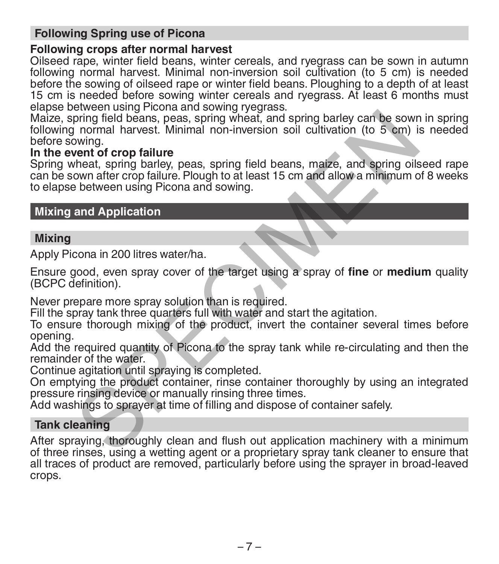## **Following Spring use of Picona**

#### **Following crops after normal harvest**

Oilseed rape, winter field beans, winter cereals, and ryegrass can be sown in autumn following normal harvest. Minimal non-inversion soil cultivation (to 5 cm) is needed before the sowing of oilseed rape or winter field beans. Ploughing to a depth of at least 15 cm is needed before sowing winter cereals and ryegrass. At least 6 months must elapse between using Picona and sowing ryegrass.

Maize, spring field beans, peas, spring wheat, and spring barley can be sown in spring following normal harvest. Minimal non-inversion soil cultivation (to 5 cm) is needed before sowing. pring field beans, peas, spring wheat, and spring barley can be sown<br>ning field beans, peas, spring wheat, and spring barley can be sown<br>normal harvest. Minimal non-inversion soil cultivation (to 5 cm) is<br>nheat, spring bar

#### **In the event of crop failure**

Spring wheat, spring barley, peas, spring field beans, maize, and spring oilseed rape can be sown after crop failure. Plough to at least 15 cm and allow a minimum of 8 weeks to elapse between using Picona and sowing.

# **Mixing and Application**

#### **Mixing**

Apply Picona in 200 litres water/ha.

Ensure good, even spray cover of the target using a spray of **fine** or **medium** quality (BCPC definition).

Never prepare more spray solution than is required.

Fill the spray tank three quarters full with water and start the agitation.

To ensure thorough mixing of the product, invert the container several times before opening.

Add the required quantity of Picona to the spray tank while re-circulating and then the remainder of the water.

Continue agitation until spraying is completed.

On emptying the product container, rinse container thoroughly by using an integrated pressure rinsing device or manually rinsing three times.

Add washings to sprayer at time of filling and dispose of container safely.

#### **Tank cleaning**

After spraying, thoroughly clean and flush out application machinery with a minimum of three rinses, using a wetting agent or a proprietary spray tank cleaner to ensure that all traces of product are removed, particularly before using the sprayer in broad-leaved crops.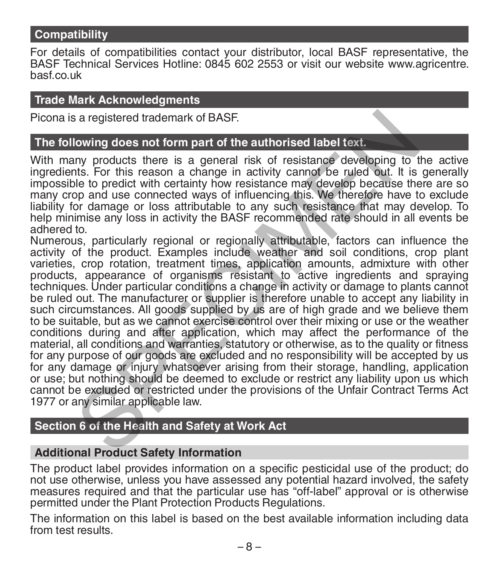#### **Compatibility**

For details of compatibilities contact your distributor, local BASF representative, the BASF Technical Services Hotline: 0845 602 2553 or visit our website www.agricentre. basf.co.uk

#### **Trade Mark Acknowledgments**

Picona is a registered trademark of BASF.

#### **The following does not form part of the authorised label text.**

With many products there is a general risk of resistance developing to the active ingredients. For this reason a change in activity cannot be ruled out. It is generally impossible to predict with certainty how resistance may develop because there are so many crop and use connected ways of influencing this. We therefore have to exclude liability for damage or loss attributable to any such resistance that may develop. To help minimise any loss in activity the BASF recommended rate should in all events be adhered to.

Numerous, particularly regional or regionally attributable, factors can influence the activity of the product. Examples include weather and soil conditions, crop plant varieties, crop rotation, treatment times, application amounts, admixture with other products, appearance of organisms resistant to active ingredients and spraying techniques. Under particular conditions a change in activity or damage to plants cannot be ruled out. The manufacturer or supplier is therefore unable to accept any liability in such circumstances. All goods supplied by us are of high grade and we believe them to be suitable, but as we cannot exercise control over their mixing or use or the weather conditions during and after application, which may affect the performance of the material, all conditions and warranties, statutory or otherwise, as to the quality or fitness for any purpose of our goods are excluded and no responsibility will be accepted by us for any damage or injury whatsoever arising from their storage, handling, application or use; but nothing should be deemed to exclude or restrict any liability upon us which cannot be excluded or restricted under the provisions of the Unfair Contract Terms Act 1977 or any similar applicable law. is a registered trademark of BASF.<br>
Nowing does not form part of the authorised label text.<br>
In this, For this reason a change in activity cannot be ruled out. It is<br>
the to predict with certainty how resistance may develo

### **Section 6 of the Health and Safety at Work Act**

#### **Additional Product Safety Information**

The product label provides information on a specific pesticidal use of the product; do not use otherwise, unless you have assessed any potential hazard involved, the safety measures required and that the particular use has "off-label" approval or is otherwise permitted under the Plant Protection Products Regulations.

The information on this label is based on the best available information including data from test results.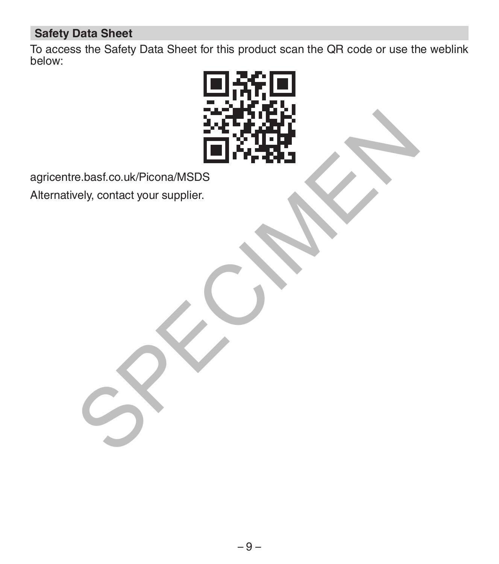# **Safety Data Sheet**

To access the Safety Data Sheet for this product scan the QR code or use the weblink below:



agricentre.basf.co.uk/Picona/MSDS

Alternatively, contact your supplier.